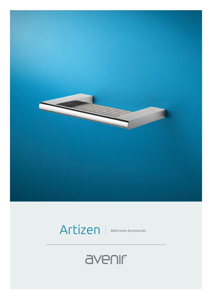

## Artizen Bathroom Accessories

## avenir